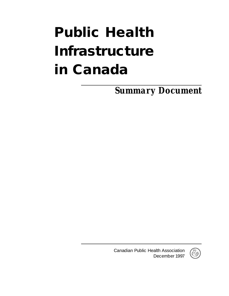# **Public Health Infrastructure in Canada**

*Summary Document*



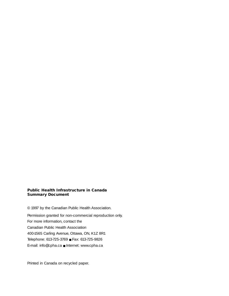#### **Public Health Infrastructure in Canada Summary Document**

© 1997 by the Canadian Public Health Association. Permission granted for non-commercial reproduction only. For more information, contact the Canadian Public Health Association 400-1565 Carling Avenue, Ottawa, ON, K1Z 8R1 Telephone: 613-725-3769 ■ Fax: 613-725-9826 E-mail: info@cpha.ca ■ Internet: www.cpha.ca

Printed in Canada on recycled paper.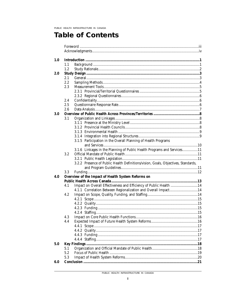# **Table of Contents**

| 1.0 |     |                                                                                   |  |
|-----|-----|-----------------------------------------------------------------------------------|--|
|     | 1.1 |                                                                                   |  |
|     | 1.2 |                                                                                   |  |
| 2.0 |     |                                                                                   |  |
|     | 2.1 |                                                                                   |  |
|     | 2.2 |                                                                                   |  |
|     | 2.3 |                                                                                   |  |
|     |     |                                                                                   |  |
|     |     |                                                                                   |  |
|     | 2.4 |                                                                                   |  |
|     | 2.5 |                                                                                   |  |
|     | 2.6 |                                                                                   |  |
| 3.0 |     |                                                                                   |  |
|     | 3.1 |                                                                                   |  |
|     |     |                                                                                   |  |
|     |     |                                                                                   |  |
|     |     |                                                                                   |  |
|     |     |                                                                                   |  |
|     |     |                                                                                   |  |
|     |     | 3.1.5 Participation in the Overall Planning of Health Programs                    |  |
|     |     | 3.1.6 Linkages in the Planning of Public Health Programs and Services11           |  |
|     | 3.2 |                                                                                   |  |
|     |     |                                                                                   |  |
|     |     | 3.2.2 Presence of Public Health Definitions/vision, Goals, Objectives, Standards, |  |
|     |     |                                                                                   |  |
|     | 3.3 |                                                                                   |  |
| 4.0 |     | Overview of the Impact of Health System Reforms on                                |  |
|     |     |                                                                                   |  |
|     | 4.1 | Impact on Overall Effectiveness and Efficiency of Public Health 14                |  |
|     |     | 4.1.1 Correlation Between Regionalization and Overall Impact14                    |  |
|     | 4.2 |                                                                                   |  |
|     |     |                                                                                   |  |
|     |     |                                                                                   |  |
|     |     |                                                                                   |  |
|     |     |                                                                                   |  |
|     | 4.3 |                                                                                   |  |
|     | 4.4 |                                                                                   |  |
|     |     |                                                                                   |  |
|     |     |                                                                                   |  |
|     |     |                                                                                   |  |
|     |     |                                                                                   |  |
| 5.0 |     |                                                                                   |  |
|     | 5.1 |                                                                                   |  |
|     | 5.2 |                                                                                   |  |
|     | 5.3 |                                                                                   |  |
| 6.0 |     |                                                                                   |  |
|     |     |                                                                                   |  |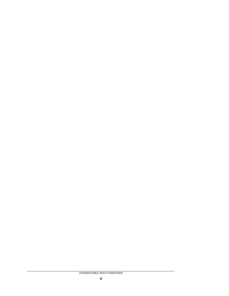CANADIAN PUBLIC HEALTH ASSOCIATION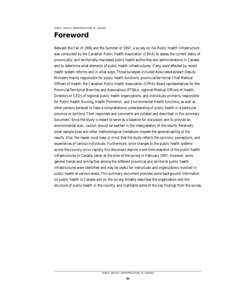PUBLIC HEALTH INFRASTRUCTURE IN CANADA

# **Foreword**

Between the Fall of 1996 and the Summer of 1997, a survey on the Public Health Infrastructure was conducted by the Canadian Public Health Association (CPHA) to assess the current status of provincially- and territorially-mandated public health authorities and administrations in Canada and to determine what elements of public health infrastructures, if any, were affected by recent health system reforms and in what ways. Those surveyed included Associate/Assistant Deputy Ministers mainly responsible for public health functions; provincial/territorial Chief Medical Officers of Health; the Canadian Public Health Association (CPHA) Board representatives for the Provincial/Territorial Branches and Associations (PTBAs); regional Medical Officers of Health; Directors or CEOs of regional public health organizations; and individuals primarily responsible for Public Health Nursing, Health Promotion, and Environmental Health functions; as well as other persons believed to have a comprehensive understanding of public health in a particular province or territory. Their responses and comments are collated and described in this summary document. Since the study is meant to serve as a baseline for discussion and to provide an environmental scan, caution should be exerted in the interpretation of the results. Relatively small sample sizes and other methodological limitations impede the generalizability of the results. Also, the reader must keep in mind that the study reflects the opinions, perceptions, and experiences of various individuals. Furthermore, since changes to the public health systems across the country occur rapidly, this document depicts a one-time snapshot of the public health infrastructures in Canada, taken at the time of the survey in February 1997. However, some general trends and similarities among the different provincial and territorial public health infrastructures were identified and may be useful for individuals and organizations involved in public health at various levels. This summary document provides some background information on public health in Canada and on the survey, broadly describes the organization and the structure of public health in the country, and highlights some of the key findings from the survey.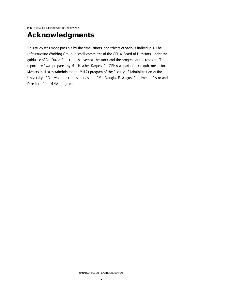PUBLIC HEALTH INFRASTRUCTURE IN CANADA

# **Acknowledgments**

This study was made possible by the time, efforts, and talents of various individuals. The Infrastructure Working Group, a small committee of the CPHA Board of Directors, under the guidance of Dr. David Butler-Jones, oversaw the work and the progress of the research. The report itself was prepared by Ms. Heather Karpetz for CPHA as part of her requirements for the Masters in Health Administration (MHA) program of the Faculty of Administration at the University of Ottawa, under the supervision of Mr. Douglas E. Angus, full-time professor and Director of the MHA program.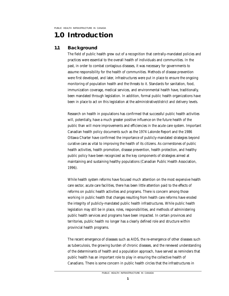# **1.0 Introduction**

#### **1.1 Background**

The field of public health grew out of a recognition that centrally-mandated policies and practices were essential to the overall health of individuals and communities. In the past, in order to combat contagious diseases, it was necessary for governments to assume responsibility for the health of communities. Methods of disease prevention were first developed, and later, infrastructures were put in place to ensure the ongoing monitoring of population health and the threats to it. Standards for sanitation, food, immunization coverage, medical services, and environmental health have, traditionally, been mandated through legislation. In addition, formal public health organizations have been in place to act on this legislation at the administrative/district and delivery levels.

Research on health in populations has confirmed that successful public health activities will, potentially, have a much greater positive influence on the future health of the public than will more improvements and efficiencies in the acute care system. Important Canadian health policy documents such as the 1974 Lalonde Report and the 1986 Ottawa Charter have confirmed the importance of publicly-mandated strategies beyond curative care as vital to improving the health of its citizens. As cornerstones of public health activities, health promotion, disease prevention, health protection, and healthy public policy have been recognized as the key components of strategies aimed at maintaining and sustaining healthy populations (Canadian Public Health Association, 1996).

While health system reforms have focused much attention on the most expensive health care sector, acute care facilities, there has been little attention paid to the effects of reforms on public health activities and programs. There is concern among those working in public health that changes resulting from health care reforms have eroded the integrity of publicly-mandated public health infrastructures. While public health legislation may still be in place, roles, responsibilities, and methods of administering public health services and programs have been impacted. In certain provinces and territories, public health no longer has a clearly defined role and structure within provincial health programs.

The recent emergence of diseases such as AIDS, the re-emergence of other diseases such as tuberculosis, the growing burden of chronic diseases, and the renewed understanding of the determinants of health and a population approach, have served as reminders that public health has an important role to play in ensuring the collective health of Canadians. There is some concern in public health circles that the infrastructures in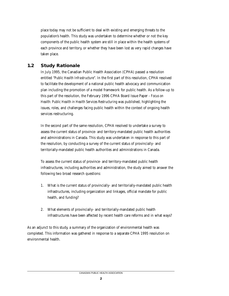place today may not be sufficient to deal with existing and emerging threats to the population's health. This study was undertaken to determine whether or not the key components of the public health system are still in place within the health systems of each province and territory, or whether they have been lost as very rapid changes have taken place.

## **1.2 Study Rationale**

In July 1995, the Canadian Public Health Association (CPHA) passed a resolution entitled "*Public Health Infrastructure*". In the first part of this resolution, CPHA resolved to facilitate the development of a national public health advocacy and communication plan including the promotion of a model framework for public health. As a follow-up to this part of the resolution, the February 1996 CPHA Board Issue Paper - *Focus on Health: Public Health in Health Services Restructuring* was published, highlighting the issues, roles, and challenges facing public health within the context of ongoing health services restructuring.

In the second part of the same resolution, CPHA resolved to undertake a survey to assess the current status of province- and territory-mandated public health authorities and administrations in Canada. This study was undertaken in response to this part of the resolution, by conducting a survey of the current status of provincially- and territorially-mandated public health authorities and administrations in Canada.

To assess the current status of province- and territory-mandated public health infrastructures, including authorities and administration, the study aimed to answer the following two broad research questions:

- 1. What is the current status of provincially- and territorially-mandated public health infrastructures, including organization and linkages, official mandate for public health, and funding?
- 2. What elements of provincially- and territorially-mandated public health infrastructures have been affected by recent health care reforms and in what ways?

As an adjunct to this study, a summary of the organization of environmental health was completed. This information was gathered in response to a separate CPHA 1995 resolution on environmental health.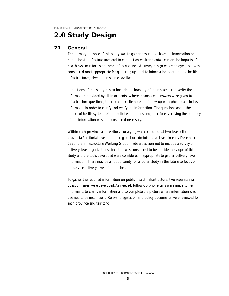# **2.0 Study Design**

# **2.1 General**

The primary purpose of this study was to gather descriptive baseline information on public health infrastructures and to conduct an environmental scan on the impacts of health system reforms on these infrastructures. A survey design was employed as it was considered most appropriate for gathering up-to-date information about public health infrastructures, given the resources available.

Limitations of this study design include the inability of the researcher to verify the information provided by all informants. Where inconsistent answers were given to infrastructure questions, the researcher attempted to follow up with phone calls to key informants in order to clarify and verify the information. The questions about the impact of health system reforms solicited opinions and, therefore, verifying the accuracy of this information was not considered necessary.

Within each province and territory, surveying was carried out at two levels: the provincial/territorial level and the regional or administrative level. In early December 1996, the Infrastructure Working Group made a decision not to include a survey of delivery-level organizations since this was considered to be outside the scope of this study and the tools developed were considered inappropriate to gather delivery-level information. There may be an opportunity for another study in the future to focus on the service delivery level of public health.

To gather the required information on public health infrastructure, two separate mail questionnaires were developed. As needed, follow-up phone calls were made to key informants to clarify information and to complete the picture where information was deemed to be insufficient. Relevant legislation and policy documents were reviewed for each province and territory.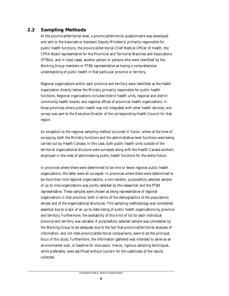# **2.2 Sampling Methods**

At the provincial/territorial level, a provincial/territorial questionnaire was developed and sent to the Associate or Assistant Deputy Minister(s) primarily responsible for public health functions, the provincial/territorial Chief Medical Officer of Health, the CPHA Board representative for the Provincial and Territorial Branches and Associations (PTBAs), and in most cases, another person or persons who were identified by the Working Group members or PTBA representative as having a comprehensive understanding of public health in that particular province or territory.

Regional organizations within each province and territory were identified as the health organization directly below the Ministry primarily responsible for public health functions. Regional organizations included district health units, regional and district community health boards, and regional offices of provincial health organizations. In those provinces where public health was not integrated with other health services, one survey was sent to the Executive Director of the corresponding Health Council for that region.

An exception to the regional sampling method occurred in Yukon, where at the time of surveying, both the Ministry functions and the administrative-level functions were being carried out by Health Canada. In this case, both public health units outside of the territorial organizational structure were surveyed along with the Health Canada workers employed in the roles of administering public health functions for the entire Yukon.

In provinces where there were determined to be nine or fewer regional public health organizations, the latter were all surveyed. In provinces where there were determined to be more than nine regional organizations, a non-random, purposefully selected sample of up to nine organizations was jointly selected by the researcher and the PTBA representative. These samples were chosen as being representative of regional organizations in that province, both in terms of the demographics of the populations served and of the organizational structures. This sampling methodology was considered essential due to a lack of an up-to-date listing of public health organizations by province and territory. Furthermore, the availability of this kind of list for each individual province and territory was variable. A purposefully selected sample was considered by the Working Group to be adequate due to the fact that provincial/territorial analyses of information, and not inter-provincial/territorial comparisons, were to be the principal focus of this study. Furthermore, the information gathered was intended to serve as an environmental scan, or baseline for discussion. Hence, rigorous sampling techniques, while preferable, were sacrificed without concern for the usefulness of the results collected.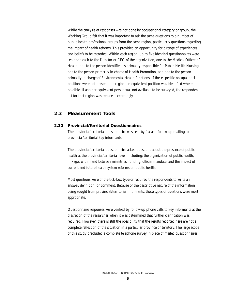While the analysis of responses was not done by occupational category or group, the Working Group felt that it was important to ask the same questions to a number of public health professional groups from the same region, particularly questions regarding the impact of health reforms. This provided an opportunity for a range of experiences and beliefs to be recorded. Within each region, up to five identical questionnaires were sent: one each to the Director or CEO of the organization, one to the Medical Officer of Health, one to the person identified as primarily responsible for Public Health Nursing, one to the person primarily in charge of Health Promotion, and one to the person primarily in charge of Environmental Health functions. If these specific occupational positions were not present in a region, an equivalent position was identified where possible. If another equivalent person was not available to be surveyed, the respondent list for that region was reduced accordingly.

## **2.3 Measurement Tools**

#### **2.3.1 Provincial/Territorial Questionnaires**

The provincial/territorial questionnaire was sent by fax and follow-up mailing to provincial/territorial key informants.

The provincial/territorial questionnaire asked questions about the presence of public health at the provincial/territorial level, including: the organization of public health, linkages within and between ministries, funding, official mandate, and the impact of current and future health system reforms on public health.

Most questions were of the tick-box type or required the respondents to write an answer, definition, or comment. Because of the descriptive nature of the information being sought from provincial/territorial informants, these types of questions were most appropriate.

Questionnaire responses were verified by follow-up phone calls to key informants at the discretion of the researcher when it was determined that further clarification was required. However, there is still the possibility that the results reported here are not a complete reflection of the situation in a particular province or territory. The large scope of this study precluded a complete telephone survey in place of mailed questionnaires.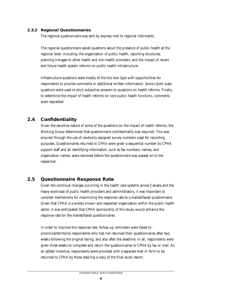#### **2.3.2 Regional Questionnaires**

The regional questionnaire was sent by express mail to regional informants.

The regional questionnaire asked questions about the presence of public health at the regional level, including: the organization of public health, reporting structures, planning linkages to other health and non-health providers, and the impact of recent and future health system reforms on public health infrastructure.

Infrastructure questions were mostly of the tick-box type with opportunities for respondents to provide comments or additional written information. Some Likert scale questions were used to elicit subjective answers to questions on health reforms. Finally, to determine the impact of health reforms on core public health functions, comments were requested.

## **2.4 Confidentiality**

Given the sensitive nature of some of the questions on the impact of health reforms, the Working Group determined that questionnaire confidentiality was required. This was ensured through the use of randomly assigned survey numbers used for recording purposes. Questionnaires returned to CPHA were given a sequential number by CPHA support staff and all identifying information, such as fax numbers, names, and organization names, were removed before the questionnaire was passed on to the researcher.

#### **2.5 Questionnaire Response Rate**

Given the continual changes occurring in the health care systems across Canada and the heavy workload of public health providers and administrators, it was important to consider mechanisms for maximizing the response rate to a mailed/faxed questionnaire. Given that CPHA is a widely known and respected organization within the public health sector, it was anticipated that CPHA sponsorship of this study would enhance the response rate for the mailed/faxed questionnaires.

In order to improve the response rate, follow-up reminders were faxed to provincial/territorial respondents who had not returned their questionnaires after two weeks following the original faxing, and also after the deadline. In all, respondents were given three weeks to complete and return the questionnaires to CPHA by fax or mail. As an added incentive, respondents were provided with a separate mail-in form to be returned to CPHA by those desiring a copy of the final study report.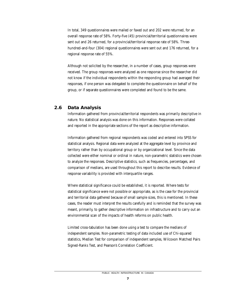In total, 349 questionnaires were mailed or faxed out and 202 were returned, for an overall response rate of 58%. Forty-five (45) provincial/territorial questionnaires were sent out and 26 returned, for a provincial/territorial response rate of 58%. Threehundred-and-four (304) regional questionnaires were sent out and 176 returned, for a regional response rate of 55%.

Although not solicited by the researcher, in a number of cases, group responses were received. The group responses were analyzed as one response since the researcher did not know if the individual respondents within the responding group had averaged their responses, if one person was delegated to complete the questionnaire on behalf of the group, or if separate questionnaires were completed and found to be the same.

### **2.6 Data Analysis**

Information gathered from provincial/territorial respondents was primarily descriptive in nature. No statistical analysis was done on this information. Responses were collated and reported in the appropriate sections of the report as descriptive information.

Information gathered from regional respondents was coded and entered into SPSS for statistical analysis. Regional data were analyzed at the aggregate level by province and territory rather than by occupational group or by organizational level. Since the data collected were either nominal or ordinal in nature, non-parametric statistics were chosen to analyze the responses. Descriptive statistics, such as frequencies, percentages, and comparison of medians, are used throughout this report to describe results. Evidence of response variability is provided with interquartile ranges.

Where statistical significance could be established, it is reported. Where tests for statistical significance were not possible or appropriate, as is the case for the provincial and territorial data gathered because of small sample sizes, this is mentioned. In these cases, the reader must interpret the results carefully and is reminded that the survey was meant, primarily, to gather descriptive information on infrastructure and to carry out an environmental scan of the impacts of health reforms on public health.

Limited cross-tabulation has been done using a test to compare the medians of independent samples. Non-parametric testing of data included use of Chi-squared statistics, Median Test for comparison of independent samples, Wilcoxon Matched Pairs Signed-Ranks Test, and Pearson's Correlation Coefficient.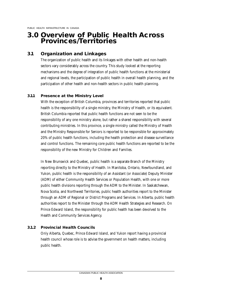# **3.0 Overview of Public Health Across Provinces/Territories**

## **3.1 Organization and Linkages**

The organization of public health and its linkages with other health and non-health sectors vary considerably across the country. This study looked at the reporting mechanisms and the degree of integration of public health functions at the ministerial and regional levels, the participation of public health in overall health planning, and the participation of other health and non-health sectors in public health planning.

#### **3.1.1 Presence at the Ministry Level**

With the exception of British Columbia, provinces and territories reported that public health is the responsibility of a single ministry, the Ministry of Health, or its equivalent. British Columbia reported that public health functions are not seen to be the responsibility of any one ministry alone, but rather a shared responsibility with several contributing ministries. In this province, a single ministry called the Ministry of Health and the Ministry Responsible for Seniors is reported to be responsible for approximately 20% of public health functions, including the health protection and disease surveillance and control functions. The remaining core public health functions are reported to be the responsibility of the new Ministry for Children and Families.

In New Brunswick and Quebec, public health is a separate Branch of the Ministry reporting directly to the Ministry of Health. In Manitoba, Ontario, Newfoundland, and Yukon, public health is the responsibility of an Assistant (or Associate) Deputy Minister (ADM) of either Community Health Services or Population Health, with one or more public health divisions reporting through the ADM to the Minister. In Saskatchewan, Nova Scotia, and Northwest Territories, public health authorities report to the Minister through an ADM of Regional or District Programs and Services. In Alberta, public health authorities report to the Minister through the ADM Health Strategies and Research. On Prince Edward Island, the responsibility for public health has been devolved to the Health and Community Services Agency.

#### **3.1.2 Provincial Health Councils**

Only Alberta, Quebec, Prince Edward Island, and Yukon report having a provincial health council whose role is to advise the government on health matters, including public health.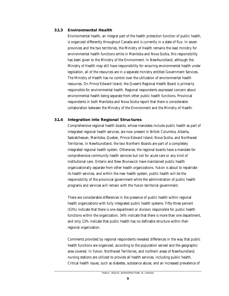#### **3.1.3 Environmental Health**

Environmental health, an integral part of the health protection function of public health, is organized differently throughout Canada and is currently in a state of flux. In seven provinces and the two territories, the Ministry of Health remains the lead ministry for environmental health functions while in Manitoba and Nova Scotia, this responsibility has been given to the Ministry of the Environment. In Newfoundland, although the Ministry of Health may still have responsibility for ensuring environmental health under legislation, all of the resources are in a separate ministry entitled Government Services. The Ministry of Health has no control over the utilization of environmental health resources. On Prince Edward Island, the Queen's Regional Health Board is primarily responsible for environmental health. Regional respondents expressed concern about environmental health being separate from other public health functions. Provincial respondents in both Manitoba and Nova Scotia report that there is considerable collaboration between the Ministry of the Environment and the Ministry of Health.

#### **3.1.4 Integration into Regional Structures**

Comprehensive regional health boards, whose mandates include public health as part of integrated regional health services, are now present in British Columbia, Alberta, Saskatchewan, Manitoba, Quebec, Prince Edward Island, Nova Scotia, and Northwest Territories. In Newfoundland, the two Northern Boards are part of a completely integrated regional health system. Otherwise, the regional boards have a mandate for comprehensive community health services but not for acute care or any kind of institutional care. Ontario and New Brunswick have maintained public health organizationally separate from other health organizations. Yukon is about to repatriate its health services, and within the new health system, public health will be the responsibility of the provincial government while the administration of public health programs and services will remain with the Yukon territorial government.

There are considerable differences in the presence of public health within regional health organizations with fully integrated public health systems. Fifty-three percent (53%) indicate that there is one department or division responsible for public health functions within the organization, 34% indicate that there is more than one department, and only 13% indicate that public health has no definable structure within their regional organization.

Comments provided by regional respondents revealed differences in the way that public health functions are organized, according to the population served and the geographic area covered. In Yukon, Northwest Territories, and northern areas of Newfoundland, nursing stations are utilized to provide all health services, including public health. Critical health issues, such as diabetes, substance abuse, and an increased prevalence of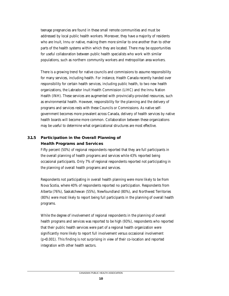teenage pregnancies are found in these small remote communities and must be addressed by local public health workers. Moreover, they have a majority of residents who are Inuit, Innu or native, making them more similar to one another than to other parts of the health systems within which they are located. There may be opportunities for useful collaboration between public health specialists who work with similar populations, such as northern community workers and metropolitan area workers.

There is a growing trend for native councils and commissions to assume responsibility for many services, including health. For instance, Health Canada recently handed over responsibility for certain health services, including public health, to two new health organizations, the Labrador Inuit Health Commission (LIHC) and the Innu Nation Health (INH). These services are augmented with provincially-provided resources, such as environmental health. However, responsibility for the planning and the delivery of programs and services rests with these Councils or Commissions. As native selfgovernment becomes more prevalent across Canada, delivery of health services by native health boards will become more common. Collaboration between these organizations may be useful to determine what organizational structures are most effective.

## **3.1.5 Participation in the Overall Planning of Health Programs and Services**

Fifty percent (50%) of regional respondents reported that they are full participants in the overall planning of health programs and services while 43% reported being occasional participants. Only 7% of regional respondents reported not participating in the planning of overall health programs and services.

Respondents not participating in overall health planning were more likely to be from Nova Scotia, where 40% of respondents reported no participation. Respondents from Alberta (76%), Saskatchewan (55%), Newfoundland (80%), and Northwest Territories (80%) were most likely to report being full participants in the planning of overall health programs.

While the degree of involvement of regional respondents in the planning of overall health programs and services was reported to be high (93%), respondents who reported that their public health services were part of a regional health organization were significantly more likely to report full involvement versus occasional involvement (p<0.001). This finding is not surprising in view of their co-location and reported integration with other health sectors.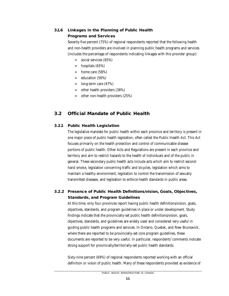# **3.1.6 Linkages in the Planning of Public Health Programs and Services**

Seventy-five percent (75%) of regional respondents reported that the following health and non-health providers are involved in planning public health programs and services (includes the percentage of respondents indicating linkages with this provider group):

- $\blacktriangleright$  social services (65%)
- $\geq$  hospitals (65%)
- $\geq$  home care (58%)
- $\blacktriangleright$  education (56%)
- $\geq$  long-term care (47%)
- $\geq$  other health providers (38%)
- $\triangleright$  other non-health providers (25%)

# **3.2 Official Mandate of Public Health**

## **3.2.1 Public Health Legislation**

The legislative mandate for public health within each province and territory is present in one major piece of public health legislation, often called the Public Health Act. This Act focuses primarily on the health protection and control of communicable disease portions of public health. Other Acts and Regulations are present in each province and territory and aim to restrict hazards to the health of individuals and of the public in general. These secondary public health acts include acts which aim to restrict secondhand smoke, legislation concerning traffic and bicycles, legislation which aims to maintain a healthy environment, legislation to control the transmission of sexually transmitted diseases, and legislation to enforce health standards in public areas.

# **3.2.2 Presence of Public Health Definitions/vision, Goals, Objectives, Standards, and Program Guidelines**

At this time, only four provinces report having public health definitions/vision, goals, objectives, standards, and program guidelines in place or under development. Study findings indicate that the provincially-set public health definitions/vision, goals, objectives, standards, and guidelines are widely used and considered very useful in guiding public health programs and services. In Ontario, Quebec, and New Brunswick, where there are reported to be provincially-set core program guidelines, these documents are reported to be very useful. In particular, respondents' comments indicate strong support for provincially/territorially-set public health standards.

Sixty-nine percent (69%) of regional respondents reported working with an official definition or vision of public health. Many of these respondents provided as evidence of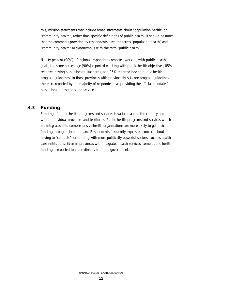this, mission statements that include broad statements about "population health" or "community health", rather than specific definitions of public health. It should be noted that the comments provided by respondents used the terms "population health" and "community health" as synonymous with the term "public health".

Ninety percent (90%) of regional respondents reported working with public health goals, the same percentage (90%) reported working with public health objectives, 85% reported having public health standards, and 96% reported having public health program guidelines. In those provinces with provincially-set core program guidelines, these are reported by the majority of respondents as providing the official mandate for public health programs and services.

# **3.3 Funding**

Funding of public health programs and services is variable across the country and within individual provinces and territories. Public health programs and services which are integrated into comprehensive health organizations are more likely to get their funding through a health board. Respondents frequently expressed concern about having to "compete" for funding with more politically powerful sectors, such as health care institutions. Even in provinces with integrated health services, some public health funding is reported to come directly from the government.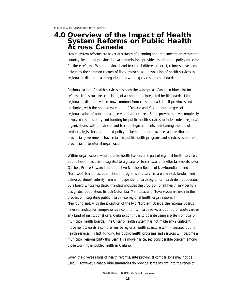# **4.0 Overview of the Impact of Health System Reforms on Public Health Across Canada**

Health system reforms are at various stages of planning and implementation across the country. Reports of provincial royal commissions provided much of the policy direction for these reforms. While provincial and territorial differences exist, reforms have been driven by the common themes of fiscal restraint and devolution of health services to regional or district health organizations with legally responsible boards.

Regionalization of health services has been the widespread Canadian blueprint for reforms. Infrastructures consisting of autonomous, integrated health boards at the regional or district level are now common from coast to coast. In all provinces and territories, with the notable exception of Ontario and Yukon, some degree of regionalization of public health services has occurred. Some provinces have completely devolved responsibility and funding for public health services to independent regional organizations, with provincial and territorial governments maintaining the role of advisors, legislators, and broad policy-makers. In other provinces and territories, provincial governments have retained public health programs and services as part of a provincial or territorial organization.

Within organizations where public health has become part of regional health services, public health has been integrated to a greater or lesser extent. In Alberta, Saskatchewan, Quebec, Prince Edward Island, the two Northern Boards of Newfoundland, and Northwest Territories, public health programs and services are planned, funded, and delivered almost entirely from an independent health region or health district operated by a board whose legislated mandate includes the provision of all health services to a designated population. British Columbia, Manitoba, and Nova Scotia are each in the process of integrating public health into regional health organizations. In Newfoundland, with the exception of the two Northern Boards, the regional boards have a mandate for comprehensive community health services but not for acute care or any kind of institutional care. Ontario continues to operate using a system of local or municipal health boards. The Ontario health system has not made any significant movement towards a comprehensive regional health structure with integrated public health services. In fact, funding for public health programs and services will become a municipal responsibility this year. This move has caused considerable concern among those working in public health in Ontario.

Given the diverse range of health reforms, interprovincial comparisons may not be useful. However, Canada-wide summaries do provide some insight into the range of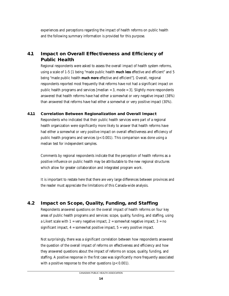experiences and perceptions regarding the impact of health reforms on public health and the following summary information is provided for this purpose.

# **4.1 Impact on Overall Effectiveness and Efficiency of Public Health**

Regional respondents were asked to assess the overall impact of health system reforms, using a scale of 1-5 [1 being "made public health *much less* effective and efficient" and 5 being "made public health *much more* effective and efficient"]. Overall, regional respondents reported most frequently that reforms have not had a significant impact on public health programs and services  $[median = 3, mode = 3]$ . Slightly more respondents answered that health reforms have had either a somewhat or very negative impact (38%) than answered that reforms have had either a somewhat or very positive impact (30%).

#### **4.1.1 Correlation Between Regionalization and Overall Impact**

Respondents who indicated that their public health services were part of a regional health organization were significantly more likely to answer that health reforms have had either a somewhat or very positive impact on overall effectiveness and efficiency of public health programs and services (p< 0.001). This comparison was done using a median test for independent samples.

Comments by regional respondents indicate that the perception of health reforms as a positive influence on public health may be attributable to the new regional structures which allow for greater collaboration and integrated program work.

It is important to restate here that there are very large differences between provinces and the reader must appreciate the limitations of this Canada-wide analysis.

## **4.2 Impact on Scope, Quality, Funding, and Staffing**

Respondents answered questions on the overall impact of health reforms on four key areas of public health programs and services: scope, quality, funding, and staffing, using a Likert scale with  $1 = \text{very negative impact}, 2 = \text{somewhat negative impact}, 3 = \text{no}$ significant impact,  $4 =$  somewhat positive impact,  $5 =$  very positive impact.

Not surprisingly, there was a significant correlation between how respondents answered the question of the overall impact of reforms on effectiveness and efficiency and how they answered questions about the impact of reforms on scope, quality, funding, and staffing. A positive response in the first case was significantly more frequently associated with a positive response to the other questions (p< 0.001).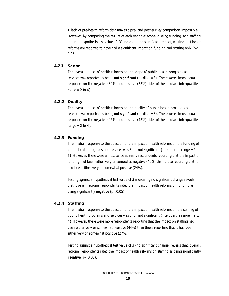A lack of pre-health reform data makes a pre- and post-survey comparison impossible. However, by comparing the results of each variable: scope, quality, funding, and staffing, to a null hypothesis test value of "3" indicating no significant impact, we find that health reforms are reported to have had a significant impact on funding and staffing only ( $p$ < 0.05).

#### **4.2.1 Scope**

The overall impact of health reforms on the scope of public health programs and services was reported as being *not significant* (median = 3). There were almost equal responses on the negative (34%) and positive (33%) sides of the median {interquartile range = 2 to 4.

#### **4.2.2 Quality**

The overall impact of health reforms on the quality of public health programs and services was reported as being *not significant* (median = 3). There were almost equal responses on the negative (46%) and positive (43%) sides of the median {interquartile range  $= 2$  to 4.

#### **4.2.3 Funding**

The median response to the question of the impact of health reforms on the funding of public health programs and services was 3, or not significant {interquartile range = 2 to 3}. However, there were almost twice as many respondents reporting that the impact on funding had been either very or somewhat negative (46%) than those reporting that it had been either very or somewhat positive (24%).

Testing against a hypothetical test value of 3 indicating no significant change reveals that, overall, regional respondents rated the impact of health reforms on funding as being significantly *negative* (p< 0.05).

#### **4.2.4 Staffing**

The median response to the question of the impact of health reforms on the staffing of public health programs and services was 3, or not significant {interquartile range = 2 to 4}. However, there were more respondents reporting that the impact on staffing had been either very or somewhat negative (44%) than those reporting that it had been either very or somewhat positive (27%).

Testing against a hypothetical test value of 3 (no significant change) reveals that, overall, regional respondents rated the impact of health reforms on staffing as being significantly *negative* (p< 0.05).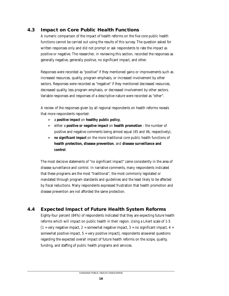# **4.3 Impact on Core Public Health Functions**

A numeric comparison of the impact of health reforms on the five core public health functions cannot be carried out using the results of this survey. The question asked for written responses only and did not prompt or ask respondents to rate the impact as positive or negative. The researcher, in reviewing this section, recorded the responses as generally negative, generally positive, no significant impact, and other.

Responses were recorded as "positive" if they mentioned gains or improvements such as increased resources, quality, program emphasis, or increased involvement by other sectors. Responses were recorded as "negative" if they mentioned decreased resources, decreased quality, less program emphasis, or decreased involvement by other sectors. Variable responses and responses of a descriptive nature were recorded as "other".

A review of the responses given by all regional respondents on health reforms reveals that more respondents reported:

- ➢ a *positive impact* on **healthy public policy**,
- ➢ either a *positive or negative impact* on **health promotion** the number of positive and negative comments being almost equal (45 and 46, respectively),
- ➢ *no significant impact* on the more traditional core public health functions of **health protection, disease prevention**, and **disease surveillance and control**.

The most decisive statements of "no significant impact" came consistently in the area of disease surveillance and control. In narrative comments, many respondents indicated that these programs are the most "traditional", the most commonly legislated or mandated through program standards and guidelines and the least likely to be affected by fiscal reductions. Many respondents expressed frustration that health promotion and disease prevention are not afforded the same protection.

# **4.4 Expected Impact of Future Health System Reforms**

Eighty-four percent (84%) of respondents indicated that they are expecting future health reforms which will impact on public health in their region. Using a Likert scale of 1-5  $[1 = \text{very negative impact}, 2 = \text{somewhat negative impact}, 3 = \text{no significant impact}, 4 = \text{computation current}, 3 = \text{comulation current}, 4 = \text{comulation current}, 5 = \text{comulation current}, 6 = \text{comulation current}, 7 = \text{comulation current}, 1 = \text{comulation current}, 1 = \text{comulation current}, 1 = \text{comulation current}, 1 = \text{comulation current}, 1 = \text{comulation current}, 1 = \text{comulation current}, 1 = \text{comulation current}, 1 = \text{comulation current}, 1 = \text{comulation current}, 1 = \text{comulation current}, 1 = \text{comulation current}, 1 = \text{comulation current}, 1 = \text{comulation current$ somewhat positive impact, 5 = very positive impact], respondents answered questions regarding the expected overall impact of future health reforms on the scope, quality, funding, and staffing of public health programs and services.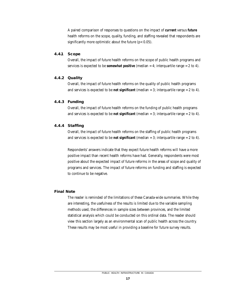A paired comparison of responses to questions on the impact of *current* versus *future* health reforms on the scope, quality, funding, and staffing revealed that respondents are significantly more optimistic about the future (p< 0.05).

#### **4.4.1 Scope**

Overall, the impact of future health reforms on the scope of public health programs and services is expected to be *somewhat positive* (median  $= 4$ ; interquartile range  $= 2$  to 4).

#### **4.4.2 Quality**

Overall, the impact of future health reforms on the quality of public health programs and services is expected to be *not significant* (median = 3; interquartile range = 2 to 4).

#### **4.4.3 Funding**

Overall, the impact of future health reforms on the funding of public health programs and services is expected to be *not significant* (median = 3; interquartile range = 2 to 4).

#### **4.4.4 Staffing**

Overall, the impact of future health reforms on the staffing of public health programs and services is expected to be *not significant* (median = 3; interquartile range = 2 to 4).

Respondents' answers indicate that they expect future health reforms will have a more positive impact than recent health reforms have had. Generally, respondents were most positive about the expected impact of future reforms in the areas of scope and quality of programs and services. The impact of future reforms on funding and staffing is expected to continue to be negative.

#### **Final Note**

The reader is reminded of the limitations of these Canada-wide summaries. While they are interesting, the usefulness of the results is limited due to the variable sampling methods used, the differences in sample sizes between provinces, and the limited statistical analysis which could be conducted on this ordinal data. The reader should view this section largely as an environmental scan of public health across the country. These results may be most useful in providing a baseline for future survey results.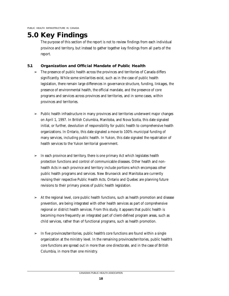PUBLIC HEALTH INFRASTRUCTURE IN CANADA

# **5.0 Key Findings**

The purpose of this section of the report is not to review findings from each individual province and territory, but instead to gather together key findings from all parts of the report.

### **5.1 Organization and Official Mandate of Public Health**

➢ The presence of public health across the provinces and territories of Canada differs significantly. While some similarities exist, such as in the case of public health legislation, there remain large differences in governance structure, funding, linkages, the presence of environmental health, the official mandate, and the presence of core programs and services across provinces and territories, and in some cases, within provinces and territories.

- $\geq$  Public health infrastructure in many provinces and territories underwent major changes on April 1, 1997. In British Columbia, Manitoba, and Nova Scotia, this date signaled initial, or further, devolution of responsibility for public health to comprehensive health organizations. In Ontario, this date signaled a move to 100% municipal funding of many services, including public health. In Yukon, this date signaled the repatriation of health services to the Yukon territorial government.
- $\triangleright$  In each province and territory, there is one primary Act which legislates health protection functions and control of communicable diseases. Other health and nonhealth Acts in each province and territory include portions which encompass other public health programs and services. New Brunswick and Manitoba are currently revising their respective Public Health Acts. Ontario and Quebec are planning future revisions to their primary pieces of public health legislation.
- ➢ At the regional level, core public health functions, such as health promotion and disease prevention, are being integrated with other health services as part of comprehensive regional or district health services. From this study, it appears that public health is becoming more frequently an integrated part of client-defined program areas, such as child services, rather than of functional programs, such as health promotion.
- ➢ In five provinces/territories, public health's core functions are found within a single organization at the ministry level. In the remaining provinces/territories, public health's core functions are spread out in more than one directorate, and in the case of British Columbia, in more than one ministry.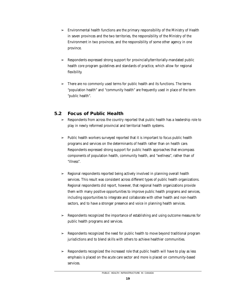- $\triangleright$  Environmental health functions are the primary responsibility of the Ministry of Health in seven provinces and the two territories, the responsibility of the Ministry of the Environment in two provinces, and the responsibility of some other agency in one province.
- $\triangleright$  Respondents expressed strong support for provincially/territorially-mandated public health core program guidelines and standards of practice, which allow for regional flexibility.
- $\triangleright$  There are no commonly used terms for public health and its functions. The terms "population health" and "community health" are frequently used in place of the term "public health".

# **5.2 Focus of Public Health**

- $\geq$  Respondents from across the country reported that public health has a leadership role to play in newly reformed provincial and territorial health systems.
- ➢ Public health workers surveyed reported that it is important to focus public health programs and services on the determinants of health rather than on health care. Respondents expressed strong support for public health approaches that encompass components of population health, community health, and "wellness", rather than of "illness".
- $\triangleright$  Regional respondents reported being actively involved in planning overall health services. This result was consistent across different types of public health organizations. Regional respondents did report, however, that regional health organizations provide them with many positive opportunities to improve public health programs and services, including opportunities to integrate and collaborate with other health and non-health sectors, and to have a stronger presence and voice in planning health services.
- ➢ Respondents recognized the importance of establishing and using outcome measures for public health programs and services.
- $\geq$  Respondents recognized the need for public health to move beyond traditional program jurisdictions and to blend skills with others to achieve healthier communities.
- $\triangleright$  Respondents recognized the increased role that public health will have to play as less emphasis is placed on the acute care sector and more is placed on community-based services.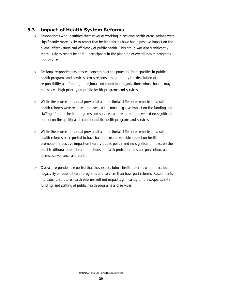# **5.3 Impact of Health System Reforms**

- ➢ Respondents who identified themselves as working in regional health organizations were significantly more likely to report that health reforms have had a positive impact on the overall effectiveness and efficiency of public health. This group was also significantly more likely to report being full participants in the planning of overall health programs and services.
- ➢ Regional respondents expressed concern over the potential for disparities in public health programs and services across regions brought on by the devolution of responsibility and funding to regional and municipal organizations whose boards may not place a high priority on public health programs and services.
- ➢ While there were individual provincial and territorial differences reported, overall, health reforms were reported to have had the most negative impact on the funding and staffing of public health programs and services, and reported to have had no significant impact on the quality and scope of public health programs and services.
- ➢ While there were individual provincial and territorial differences reported, overall, health reforms are reported to have had a mixed or variable impact on health promotion, a positive impact on healthy public policy, and no significant impact on the most traditional public health functions of health protection, disease prevention, and disease surveillance and control.
- $\triangleright$  Overall, respondents reported that they expect future health reforms will impact less negatively on public health programs and services than have past reforms. Respondents indicated that future health reforms will not impact significantly on the scope, quality, funding, and staffing of public health programs and services.